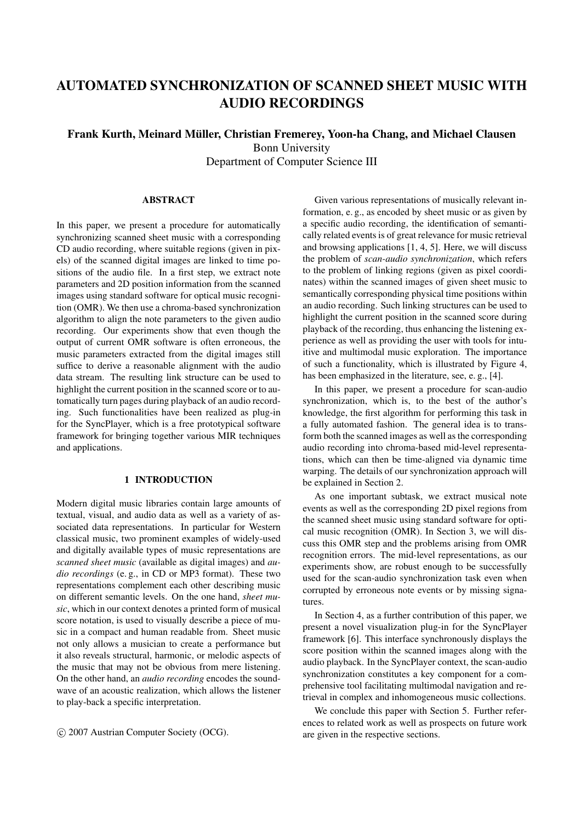# **AUTOMATED SYNCHRONIZATION OF SCANNED SHEET MUSIC WITH AUDIO RECORDINGS**

## **Frank Kurth, Meinard Müller, Christian Fremerey, Yoon-ha Chang, and Michael Clausen** Bonn University Department of Computer Science III

## **ABSTRACT**

In this paper, we present a procedure for automatically synchronizing scanned sheet music with a corresponding CD audio recording, where suitable regions (given in pixels) of the scanned digital images are linked to time positions of the audio file. In a first step, we extract note parameters and 2D position information from the scanned images using standard software for optical music recognition (OMR). We then use a chroma-based synchronization algorithm to align the note parameters to the given audio recording. Our experiments show that even though the output of current OMR software is often erroneous, the music parameters extracted from the digital images still suffice to derive a reasonable alignment with the audio data stream. The resulting link structure can be used to highlight the current position in the scanned score or to automatically turn pages during playback of an audio recording. Such functionalities have been realized as plug-in for the SyncPlayer, which is a free prototypical software framework for bringing together various MIR techniques and applications.

## **1 INTRODUCTION**

Modern digital music libraries contain large amounts of textual, visual, and audio data as well as a variety of associated data representations. In particular for Western classical music, two prominent examples of widely-used and digitally available types of music representations are *scanned sheet music* (available as digital images) and *audio recordings* (e. g., in CD or MP3 format). These two representations complement each other describing music on different semantic levels. On the one hand, *sheet music*, which in our context denotes a printed form of musical score notation, is used to visually describe a piece of music in a compact and human readable from. Sheet music not only allows a musician to create a performance but it also reveals structural, harmonic, or melodic aspects of the music that may not be obvious from mere listening. On the other hand, an *audio recording* encodes the soundwave of an acoustic realization, which allows the listener to play-back a specific interpretation.

c 2007 Austrian Computer Society (OCG).

Given various representations of musically relevant information, e. g., as encoded by sheet music or as given by a specific audio recording, the identification of semantically related events is of great relevance for music retrieval and browsing applications [1, 4, 5]. Here, we will discuss the problem of *scan-audio synchronization*, which refers to the problem of linking regions (given as pixel coordinates) within the scanned images of given sheet music to semantically corresponding physical time positions within an audio recording. Such linking structures can be used to highlight the current position in the scanned score during playback of the recording, thus enhancing the listening experience as well as providing the user with tools for intuitive and multimodal music exploration. The importance of such a functionality, which is illustrated by Figure 4, has been emphasized in the literature, see, e. g., [4].

In this paper, we present a procedure for scan-audio synchronization, which is, to the best of the author's knowledge, the first algorithm for performing this task in a fully automated fashion. The general idea is to transform both the scanned images as well as the corresponding audio recording into chroma-based mid-level representations, which can then be time-aligned via dynamic time warping. The details of our synchronization approach will be explained in Section 2.

As one important subtask, we extract musical note events as well as the corresponding 2D pixel regions from the scanned sheet music using standard software for optical music recognition (OMR). In Section 3, we will discuss this OMR step and the problems arising from OMR recognition errors. The mid-level representations, as our experiments show, are robust enough to be successfully used for the scan-audio synchronization task even when corrupted by erroneous note events or by missing signatures.

In Section 4, as a further contribution of this paper, we present a novel visualization plug-in for the SyncPlayer framework [6]. This interface synchronously displays the score position within the scanned images along with the audio playback. In the SyncPlayer context, the scan-audio synchronization constitutes a key component for a comprehensive tool facilitating multimodal navigation and retrieval in complex and inhomogeneous music collections.

We conclude this paper with Section 5. Further references to related work as well as prospects on future work are given in the respective sections.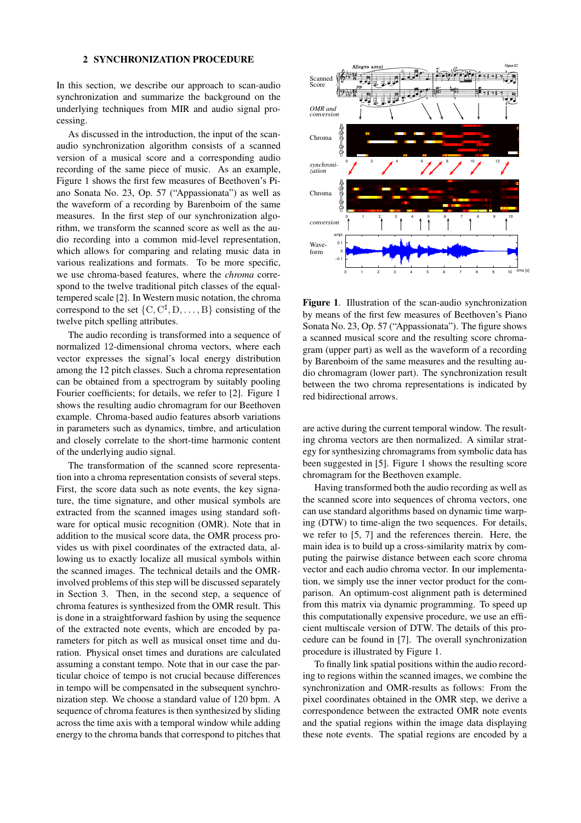#### **2 SYNCHRONIZATION PROCEDURE**

In this section, we describe our approach to scan-audio synchronization and summarize the background on the underlying techniques from MIR and audio signal processing.

As discussed in the introduction, the input of the scanaudio synchronization algorithm consists of a scanned version of a musical score and a corresponding audio recording of the same piece of music. As an example, Figure 1 shows the first few measures of Beethoven's Piano Sonata No. 23, Op. 57 ("Appassionata") as well as the waveform of a recording by Barenboim of the same measures. In the first step of our synchronization algorithm, we transform the scanned score as well as the audio recording into a common mid-level representation, which allows for comparing and relating music data in various realizations and formats. To be more specific, we use chroma-based features, where the *chroma* correspond to the twelve traditional pitch classes of the equaltempered scale [2]. In Western music notation, the chroma correspond to the set  $\{C, C^{\sharp}, D, \dots, B\}$  consisting of the twelve pitch spelling attributes.

The audio recording is transformed into a sequence of normalized 12-dimensional chroma vectors, where each vector expresses the signal's local energy distribution among the 12 pitch classes. Such a chroma representation can be obtained from a spectrogram by suitably pooling Fourier coefficients; for details, we refer to [2]. Figure 1 shows the resulting audio chromagram for our Beethoven example. Chroma-based audio features absorb variations in parameters such as dynamics, timbre, and articulation and closely correlate to the short-time harmonic content of the underlying audio signal.

The transformation of the scanned score representation into a chroma representation consists of several steps. First, the score data such as note events, the key signature, the time signature, and other musical symbols are extracted from the scanned images using standard software for optical music recognition (OMR). Note that in addition to the musical score data, the OMR process provides us with pixel coordinates of the extracted data, allowing us to exactly localize all musical symbols within the scanned images. The technical details and the OMRinvolved problems of this step will be discussed separately in Section 3. Then, in the second step, a sequence of chroma features is synthesized from the OMR result. This is done in a straightforward fashion by using the sequence of the extracted note events, which are encoded by parameters for pitch as well as musical onset time and duration. Physical onset times and durations are calculated assuming a constant tempo. Note that in our case the particular choice of tempo is not crucial because differences in tempo will be compensated in the subsequent synchronization step. We choose a standard value of 120 bpm. A sequence of chroma features is then synthesized by sliding across the time axis with a temporal window while adding energy to the chroma bands that correspond to pitches that



**Figure 1**. Illustration of the scan-audio synchronization by means of the first few measures of Beethoven's Piano Sonata No. 23, Op. 57 ("Appassionata"). The figure shows a scanned musical score and the resulting score chromagram (upper part) as well as the waveform of a recording by Barenboim of the same measures and the resulting audio chromagram (lower part). The synchronization result between the two chroma representations is indicated by red bidirectional arrows.

are active during the current temporal window. The resulting chroma vectors are then normalized. A similar strategy for synthesizing chromagrams from symbolic data has been suggested in [5]. Figure 1 shows the resulting score chromagram for the Beethoven example.

Having transformed both the audio recording as well as the scanned score into sequences of chroma vectors, one can use standard algorithms based on dynamic time warping (DTW) to time-align the two sequences. For details, we refer to [5, 7] and the references therein. Here, the main idea is to build up a cross-similarity matrix by computing the pairwise distance between each score chroma vector and each audio chroma vector. In our implementation, we simply use the inner vector product for the comparison. An optimum-cost alignment path is determined from this matrix via dynamic programming. To speed up this computationally expensive procedure, we use an efficient multiscale version of DTW. The details of this procedure can be found in [7]. The overall synchronization procedure is illustrated by Figure 1.

To finally link spatial positions within the audio recording to regions within the scanned images, we combine the synchronization and OMR-results as follows: From the pixel coordinates obtained in the OMR step, we derive a correspondence between the extracted OMR note events and the spatial regions within the image data displaying these note events. The spatial regions are encoded by a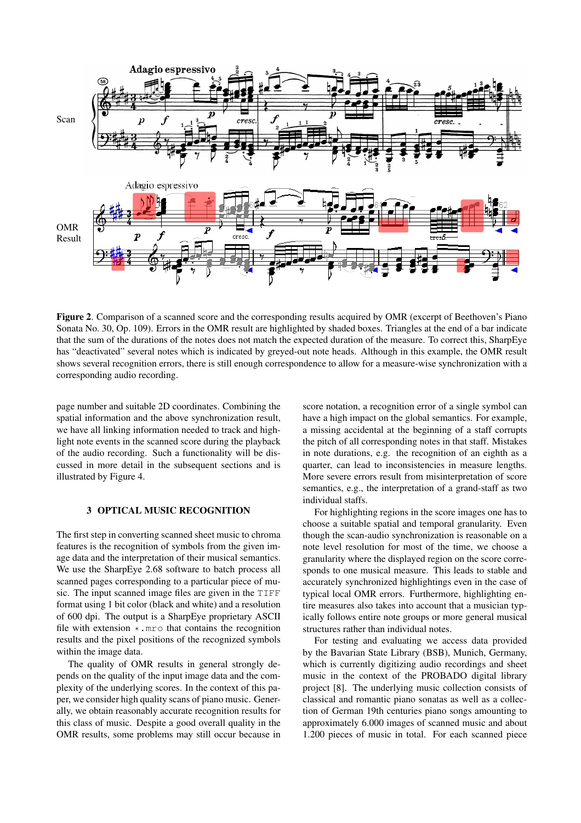

**Figure 2**. Comparison of a scanned score and the corresponding results acquired by OMR (excerpt of Beethoven's Piano Sonata No. 30, Op. 109). Errors in the OMR result are highlighted by shaded boxes. Triangles at the end of a bar indicate that the sum of the durations of the notes does not match the expected duration of the measure. To correct this, SharpEye has "deactivated" several notes which is indicated by greyed-out note heads. Although in this example, the OMR result shows several recognition errors, there is still enough correspondence to allow for a measure-wise synchronization with a corresponding audio recording.

page number and suitable 2D coordinates. Combining the spatial information and the above synchronization result, we have all linking information needed to track and highlight note events in the scanned score during the playback of the audio recording. Such a functionality will be discussed in more detail in the subsequent sections and is illustrated by Figure 4.

## **3 OPTICAL MUSIC RECOGNITION**

The first step in converting scanned sheet music to chroma features is the recognition of symbols from the given image data and the interpretation of their musical semantics. We use the SharpEye 2.68 software to batch process all scanned pages corresponding to a particular piece of music. The input scanned image files are given in the TIFF format using 1 bit color (black and white) and a resolution of 600 dpi. The output is a SharpEye proprietary ASCII file with extension  $\star$ .mro that contains the recognition results and the pixel positions of the recognized symbols within the image data.

The quality of OMR results in general strongly depends on the quality of the input image data and the complexity of the underlying scores. In the context of this paper, we consider high quality scans of piano music. Generally, we obtain reasonably accurate recognition results for this class of music. Despite a good overall quality in the OMR results, some problems may still occur because in score notation, a recognition error of a single symbol can have a high impact on the global semantics. For example, a missing accidental at the beginning of a staff corrupts the pitch of all corresponding notes in that staff. Mistakes in note durations, e.g. the recognition of an eighth as a quarter, can lead to inconsistencies in measure lengths. More severe errors result from misinterpretation of score semantics, e.g., the interpretation of a grand-staff as two individual staffs.

For highlighting regions in the score images one has to choose a suitable spatial and temporal granularity. Even though the scan-audio synchronization is reasonable on a note level resolution for most of the time, we choose a granularity where the displayed region on the score corresponds to one musical measure. This leads to stable and accurately synchronized highlightings even in the case of typical local OMR errors. Furthermore, highlighting entire measures also takes into account that a musician typically follows entire note groups or more general musical structures rather than individual notes.

For testing and evaluating we access data provided by the Bavarian State Library (BSB), Munich, Germany, which is currently digitizing audio recordings and sheet music in the context of the PROBADO digital library project [8]. The underlying music collection consists of classical and romantic piano sonatas as well as a collection of German 19th centuries piano songs amounting to approximately 6.000 images of scanned music and about 1.200 pieces of music in total. For each scanned piece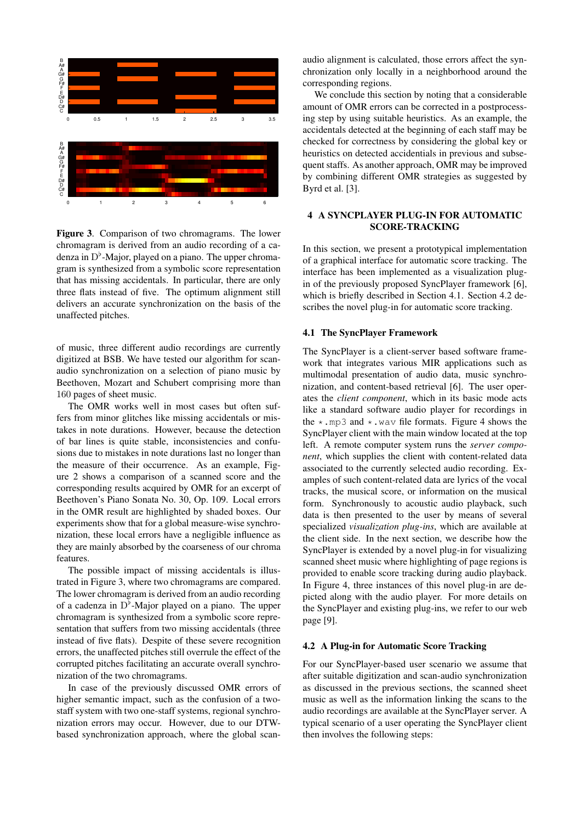

**Figure 3**. Comparison of two chromagrams. The lower chromagram is derived from an audio recording of a cadenza in  $D^{\flat}$ -Major, played on a piano. The upper chromagram is synthesized from a symbolic score representation that has missing accidentals. In particular, there are only three flats instead of five. The optimum alignment still delivers an accurate synchronization on the basis of the unaffected pitches.

of music, three different audio recordings are currently digitized at BSB. We have tested our algorithm for scanaudio synchronization on a selection of piano music by Beethoven, Mozart and Schubert comprising more than 160 pages of sheet music.

The OMR works well in most cases but often suffers from minor glitches like missing accidentals or mistakes in note durations. However, because the detection of bar lines is quite stable, inconsistencies and confusions due to mistakes in note durations last no longer than the measure of their occurrence. As an example, Figure 2 shows a comparison of a scanned score and the corresponding results acquired by OMR for an excerpt of Beethoven's Piano Sonata No. 30, Op. 109. Local errors in the OMR result are highlighted by shaded boxes. Our experiments show that for a global measure-wise synchronization, these local errors have a negligible influence as they are mainly absorbed by the coarseness of our chroma features.

The possible impact of missing accidentals is illustrated in Figure 3, where two chromagrams are compared. The lower chromagram is derived from an audio recording of a cadenza in  $D^{\flat}$ -Major played on a piano. The upper chromagram is synthesized from a symbolic score representation that suffers from two missing accidentals (three instead of five flats). Despite of these severe recognition errors, the unaffected pitches still overrule the effect of the corrupted pitches facilitating an accurate overall synchronization of the two chromagrams.

In case of the previously discussed OMR errors of higher semantic impact, such as the confusion of a twostaff system with two one-staff systems, regional synchronization errors may occur. However, due to our DTWbased synchronization approach, where the global scanaudio alignment is calculated, those errors affect the synchronization only locally in a neighborhood around the corresponding regions.

We conclude this section by noting that a considerable amount of OMR errors can be corrected in a postprocessing step by using suitable heuristics. As an example, the accidentals detected at the beginning of each staff may be checked for correctness by considering the global key or heuristics on detected accidentials in previous and subsequent staffs. As another approach, OMR may be improved by combining different OMR strategies as suggested by Byrd et al. [3].

## **4 A SYNCPLAYER PLUG-IN FOR AUTOMATIC SCORE-TRACKING**

In this section, we present a prototypical implementation of a graphical interface for automatic score tracking. The interface has been implemented as a visualization plugin of the previously proposed SyncPlayer framework [6], which is briefly described in Section 4.1. Section 4.2 describes the novel plug-in for automatic score tracking.

## **4.1 The SyncPlayer Framework**

The SyncPlayer is a client-server based software framework that integrates various MIR applications such as multimodal presentation of audio data, music synchronization, and content-based retrieval [6]. The user operates the *client component*, which in its basic mode acts like a standard software audio player for recordings in the  $\star$ .mp3 and  $\star$ .wav file formats. Figure 4 shows the SyncPlayer client with the main window located at the top left. A remote computer system runs the *server component*, which supplies the client with content-related data associated to the currently selected audio recording. Examples of such content-related data are lyrics of the vocal tracks, the musical score, or information on the musical form. Synchronously to acoustic audio playback, such data is then presented to the user by means of several specialized *visualization plug-ins*, which are available at the client side. In the next section, we describe how the SyncPlayer is extended by a novel plug-in for visualizing scanned sheet music where highlighting of page regions is provided to enable score tracking during audio playback. In Figure 4, three instances of this novel plug-in are depicted along with the audio player. For more details on the SyncPlayer and existing plug-ins, we refer to our web page [9].

## **4.2 A Plug-in for Automatic Score Tracking**

For our SyncPlayer-based user scenario we assume that after suitable digitization and scan-audio synchronization as discussed in the previous sections, the scanned sheet music as well as the information linking the scans to the audio recordings are available at the SyncPlayer server. A typical scenario of a user operating the SyncPlayer client then involves the following steps: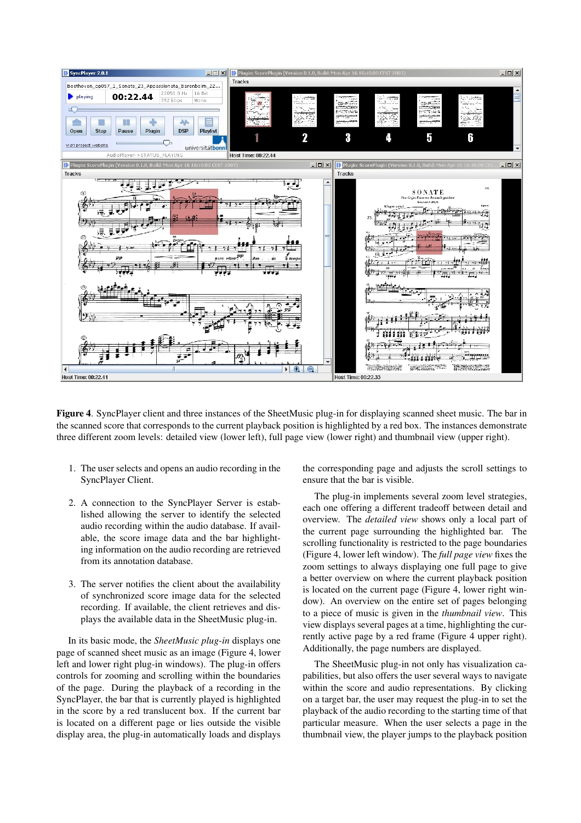

**Figure 4**. SyncPlayer client and three instances of the SheetMusic plug-in for displaying scanned sheet music. The bar in the scanned score that corresponds to the current playback position is highlighted by a red box. The instances demonstrate three different zoom levels: detailed view (lower left), full page view (lower right) and thumbnail view (upper right).

- 1. The user selects and opens an audio recording in the SyncPlayer Client.
- 2. A connection to the SyncPlayer Server is established allowing the server to identify the selected audio recording within the audio database. If available, the score image data and the bar highlighting information on the audio recording are retrieved from its annotation database.
- 3. The server notifies the client about the availability of synchronized score image data for the selected recording. If available, the client retrieves and displays the available data in the SheetMusic plug-in.

In its basic mode, the *SheetMusic plug-in* displays one page of scanned sheet music as an image (Figure 4, lower left and lower right plug-in windows). The plug-in offers controls for zooming and scrolling within the boundaries of the page. During the playback of a recording in the SyncPlayer, the bar that is currently played is highlighted in the score by a red translucent box. If the current bar is located on a different page or lies outside the visible display area, the plug-in automatically loads and displays the corresponding page and adjusts the scroll settings to ensure that the bar is visible.

The plug-in implements several zoom level strategies, each one offering a different tradeoff between detail and overview. The *detailed view* shows only a local part of the current page surrounding the highlighted bar. The scrolling functionality is restricted to the page boundaries (Figure 4, lower left window). The *full page view* fixes the zoom settings to always displaying one full page to give a better overview on where the current playback position is located on the current page (Figure 4, lower right window). An overview on the entire set of pages belonging to a piece of music is given in the *thumbnail view*. This view displays several pages at a time, highlighting the currently active page by a red frame (Figure 4 upper right). Additionally, the page numbers are displayed.

The SheetMusic plug-in not only has visualization capabilities, but also offers the user several ways to navigate within the score and audio representations. By clicking on a target bar, the user may request the plug-in to set the playback of the audio recording to the starting time of that particular measure. When the user selects a page in the thumbnail view, the player jumps to the playback position